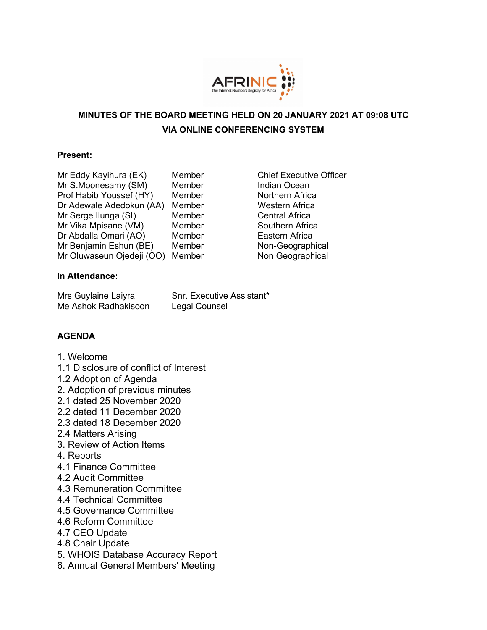

# **MINUTES OF THE BOARD MEETING HELD ON 20 JANUARY 2021 AT 09:08 UTC VIA ONLINE CONFERENCING SYSTEM**

#### **Present:**

- Mr Eddy Kayihura (EK) Member Chief Executive Officer Mr S.Moonesamy (SM) Member Indian Ocean Prof Habib Youssef (HY) Member Northern Africa Dr Adewale Adedokun (AA) Member Western Africa Mr Serge Ilunga (SI) Member Central Africa Mr Vika Mpisane (VM) Member Southern Africa Dr Abdalla Omari (AO) Member Eastern Africa Mr Benjamin Eshun (BE) Member Non-Geographical Mr Oluwaseun Ojedeji (OO) Member Non Geographical
	-

#### **In Attendance:**

| Mrs Guylaine Laiyra  | Snr. Executive Assistant* |
|----------------------|---------------------------|
| Me Ashok Radhakisoon | Legal Counsel             |

#### **AGENDA**

- 1. Welcome
- 1.1 Disclosure of conflict of Interest
- 1.2 Adoption of Agenda
- 2. Adoption of previous minutes
- 2.1 dated 25 November 2020
- 2.2 dated 11 December 2020
- 2.3 dated 18 December 2020
- 2.4 Matters Arising
- 3. Review of Action Items
- 4. Reports
- 4.1 Finance Committee
- 4.2 Audit Committee
- 4.3 Remuneration Committee
- 4.4 Technical Committee
- 4.5 Governance Committee
- 4.6 Reform Committee
- 4.7 CEO Update
- 4.8 Chair Update
- 5. WHOIS Database Accuracy Report
- 6. Annual General Members' Meeting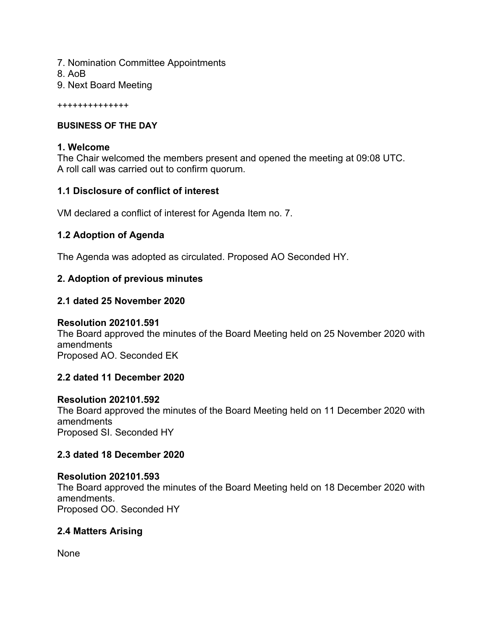- 7. Nomination Committee Appointments
- 8. AoB
- 9. Next Board Meeting

++++++++++++++

#### **BUSINESS OF THE DAY**

#### **1. Welcome**

The Chair welcomed the members present and opened the meeting at 09:08 UTC. A roll call was carried out to confirm quorum.

#### **1.1 Disclosure of conflict of interest**

VM declared a conflict of interest for Agenda Item no. 7.

#### **1.2 Adoption of Agenda**

The Agenda was adopted as circulated. Proposed AO Seconded HY.

### **2. Adoption of previous minutes**

#### **2.1 dated 25 November 2020**

#### **Resolution 202101.591**

The Board approved the minutes of the Board Meeting held on 25 November 2020 with amendments Proposed AO. Seconded EK

#### **2.2 dated 11 December 2020**

#### **Resolution 202101.592**

The Board approved the minutes of the Board Meeting held on 11 December 2020 with amendments Proposed SI. Seconded HY

#### **2.3 dated 18 December 2020**

# **Resolution 202101.593**

The Board approved the minutes of the Board Meeting held on 18 December 2020 with amendments. Proposed OO. Seconded HY

### **2.4 Matters Arising**

None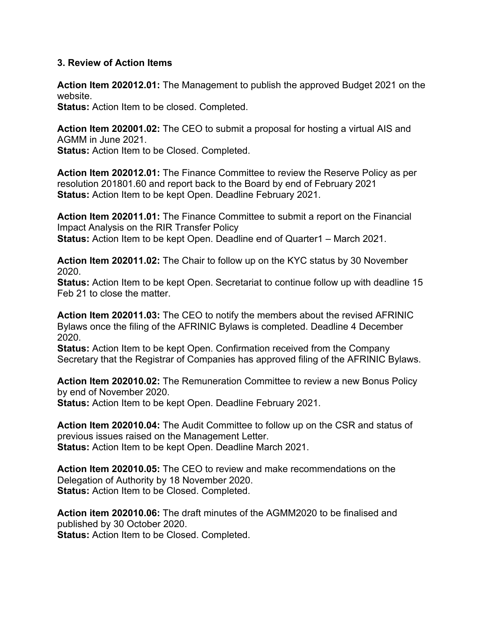#### **3. Review of Action Items**

**Action Item 202012.01:** The Management to publish the approved Budget 2021 on the website.

**Status:** Action Item to be closed. Completed.

**Action Item 202001.02:** The CEO to submit a proposal for hosting a virtual AIS and AGMM in June 2021.

**Status:** Action Item to be Closed. Completed.

**Action Item 202012.01:** The Finance Committee to review the Reserve Policy as per resolution 201801.60 and report back to the Board by end of February 2021 **Status:** Action Item to be kept Open. Deadline February 2021.

**Action Item 202011.01:** The Finance Committee to submit a report on the Financial Impact Analysis on the RIR Transfer Policy **Status:** Action Item to be kept Open. Deadline end of Quarter1 – March 2021.

**Action Item 202011.02:** The Chair to follow up on the KYC status by 30 November 2020.

**Status:** Action Item to be kept Open. Secretariat to continue follow up with deadline 15 Feb 21 to close the matter.

**Action Item 202011.03:** The CEO to notify the members about the revised AFRINIC Bylaws once the filing of the AFRINIC Bylaws is completed. Deadline 4 December 2020.

**Status:** Action Item to be kept Open. Confirmation received from the Company Secretary that the Registrar of Companies has approved filing of the AFRINIC Bylaws.

**Action Item 202010.02:** The Remuneration Committee to review a new Bonus Policy by end of November 2020. **Status:** Action Item to be kept Open. Deadline February 2021.

**Action Item 202010.04:** The Audit Committee to follow up on the CSR and status of previous issues raised on the Management Letter. **Status:** Action Item to be kept Open. Deadline March 2021.

**Action Item 202010.05:** The CEO to review and make recommendations on the Delegation of Authority by 18 November 2020.

**Status:** Action Item to be Closed. Completed.

**Action item 202010.06:** The draft minutes of the AGMM2020 to be finalised and published by 30 October 2020. **Status:** Action Item to be Closed. Completed.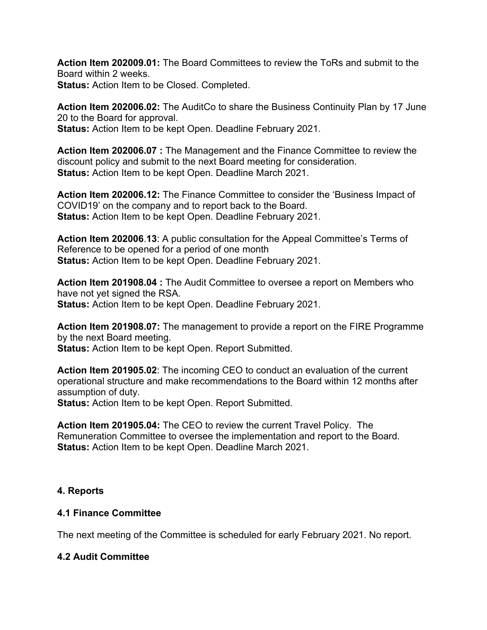**Action Item 202009.01:** The Board Committees to review the ToRs and submit to the Board within 2 weeks. **Status:** Action Item to be Closed. Completed.

**Action Item 202006.02:** The AuditCo to share the Business Continuity Plan by 17 June 20 to the Board for approval.

**Status:** Action Item to be kept Open. Deadline February 2021.

**Action Item 202006.07 :** The Management and the Finance Committee to review the discount policy and submit to the next Board meeting for consideration. **Status:** Action Item to be kept Open. Deadline March 2021.

**Action Item 202006.12:** The Finance Committee to consider the 'Business Impact of COVID19' on the company and to report back to the Board. **Status:** Action Item to be kept Open. Deadline February 2021.

**Action Item 202006**.**13**: A public consultation for the Appeal Committee's Terms of Reference to be opened for a period of one month **Status:** Action Item to be kept Open. Deadline February 2021.

**Action Item 201908.04 :** The Audit Committee to oversee a report on Members who have not yet signed the RSA. **Status:** Action Item to be kept Open. Deadline February 2021.

**Action Item 201908.07:** The management to provide a report on the FIRE Programme by the next Board meeting. **Status:** Action Item to be kept Open. Report Submitted.

**Action Item 201905.02**: The incoming CEO to conduct an evaluation of the current operational structure and make recommendations to the Board within 12 months after assumption of duty. **Status:** Action Item to be kept Open. Report Submitted.

**Action Item 201905.04:** The CEO to review the current Travel Policy. The Remuneration Committee to oversee the implementation and report to the Board. **Status:** Action Item to be kept Open. Deadline March 2021.

### **4. Reports**

### **4.1 Finance Committee**

The next meeting of the Committee is scheduled for early February 2021. No report.

### **4.2 Audit Committee**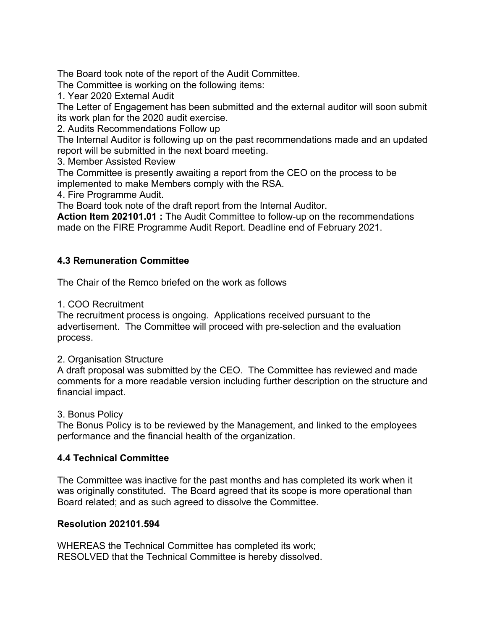The Board took note of the report of the Audit Committee.

The Committee is working on the following items:

1. Year 2020 External Audit

The Letter of Engagement has been submitted and the external auditor will soon submit its work plan for the 2020 audit exercise.

2. Audits Recommendations Follow up

The Internal Auditor is following up on the past recommendations made and an updated report will be submitted in the next board meeting.

3. Member Assisted Review

The Committee is presently awaiting a report from the CEO on the process to be implemented to make Members comply with the RSA.

4. Fire Programme Audit.

The Board took note of the draft report from the Internal Auditor.

**Action Item 202101.01 :** The Audit Committee to follow-up on the recommendations made on the FIRE Programme Audit Report. Deadline end of February 2021.

### **4.3 Remuneration Committee**

The Chair of the Remco briefed on the work as follows

1. COO Recruitment

The recruitment process is ongoing. Applications received pursuant to the advertisement. The Committee will proceed with pre-selection and the evaluation process.

#### 2. Organisation Structure

A draft proposal was submitted by the CEO. The Committee has reviewed and made comments for a more readable version including further description on the structure and financial impact.

#### 3. Bonus Policy

The Bonus Policy is to be reviewed by the Management, and linked to the employees performance and the financial health of the organization.

### **4.4 Technical Committee**

The Committee was inactive for the past months and has completed its work when it was originally constituted. The Board agreed that its scope is more operational than Board related; and as such agreed to dissolve the Committee.

### **Resolution 202101.594**

WHEREAS the Technical Committee has completed its work; RESOLVED that the Technical Committee is hereby dissolved.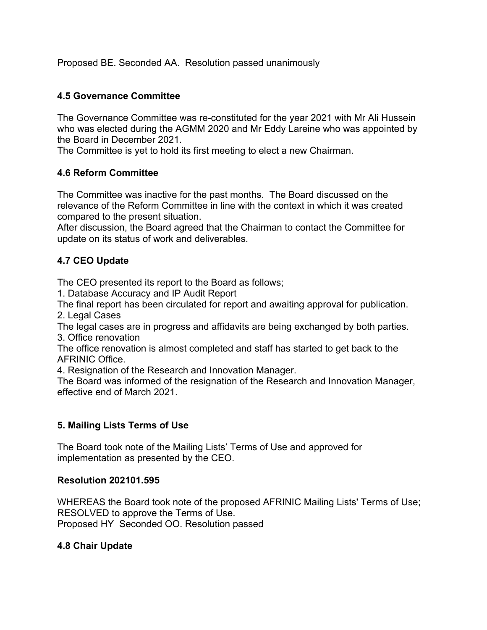Proposed BE. Seconded AA. Resolution passed unanimously

#### **4.5 Governance Committee**

The Governance Committee was re-constituted for the year 2021 with Mr Ali Hussein who was elected during the AGMM 2020 and Mr Eddy Lareine who was appointed by the Board in December 2021.

The Committee is yet to hold its first meeting to elect a new Chairman.

#### **4.6 Reform Committee**

The Committee was inactive for the past months. The Board discussed on the relevance of the Reform Committee in line with the context in which it was created compared to the present situation.

After discussion, the Board agreed that the Chairman to contact the Committee for update on its status of work and deliverables.

### **4.7 CEO Update**

The CEO presented its report to the Board as follows;

1. Database Accuracy and IP Audit Report

The final report has been circulated for report and awaiting approval for publication. 2. Legal Cases

The legal cases are in progress and affidavits are being exchanged by both parties. 3. Office renovation

The office renovation is almost completed and staff has started to get back to the AFRINIC Office.

4. Resignation of the Research and Innovation Manager.

The Board was informed of the resignation of the Research and Innovation Manager, effective end of March 2021.

### **5. Mailing Lists Terms of Use**

The Board took note of the Mailing Lists' Terms of Use and approved for implementation as presented by the CEO.

#### **Resolution 202101.595**

WHEREAS the Board took note of the proposed AFRINIC Mailing Lists' Terms of Use; RESOLVED to approve the Terms of Use. Proposed HY Seconded OO. Resolution passed

### **4.8 Chair Update**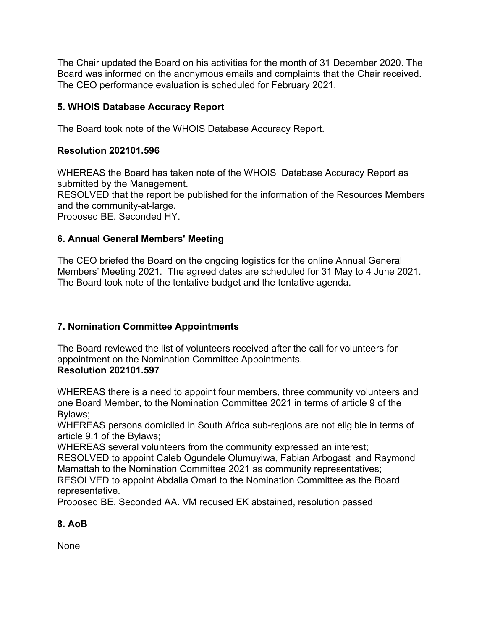The Chair updated the Board on his activities for the month of 31 December 2020. The Board was informed on the anonymous emails and complaints that the Chair received. The CEO performance evaluation is scheduled for February 2021.

### **5. WHOIS Database Accuracy Report**

The Board took note of the WHOIS Database Accuracy Report.

### **Resolution 202101.596**

WHEREAS the Board has taken note of the WHOIS Database Accuracy Report as submitted by the Management.

RESOLVED that the report be published for the information of the Resources Members and the community-at-large.

Proposed BE. Seconded HY.

### **6. Annual General Members' Meeting**

The CEO briefed the Board on the ongoing logistics for the online Annual General Members' Meeting 2021. The agreed dates are scheduled for 31 May to 4 June 2021. The Board took note of the tentative budget and the tentative agenda.

## **7. Nomination Committee Appointments**

The Board reviewed the list of volunteers received after the call for volunteers for appointment on the Nomination Committee Appointments. **Resolution 202101.597**

WHEREAS there is a need to appoint four members, three community volunteers and one Board Member, to the Nomination Committee 2021 in terms of article 9 of the Bylaws;

WHEREAS persons domiciled in South Africa sub-regions are not eligible in terms of article 9.1 of the Bylaws;

WHEREAS several volunteers from the community expressed an interest; RESOLVED to appoint Caleb Ogundele Olumuyiwa, Fabian Arbogast and Raymond Mamattah to the Nomination Committee 2021 as community representatives; RESOLVED to appoint Abdalla Omari to the Nomination Committee as the Board representative.

Proposed BE. Seconded AA. VM recused EK abstained, resolution passed

## **8. AoB**

None